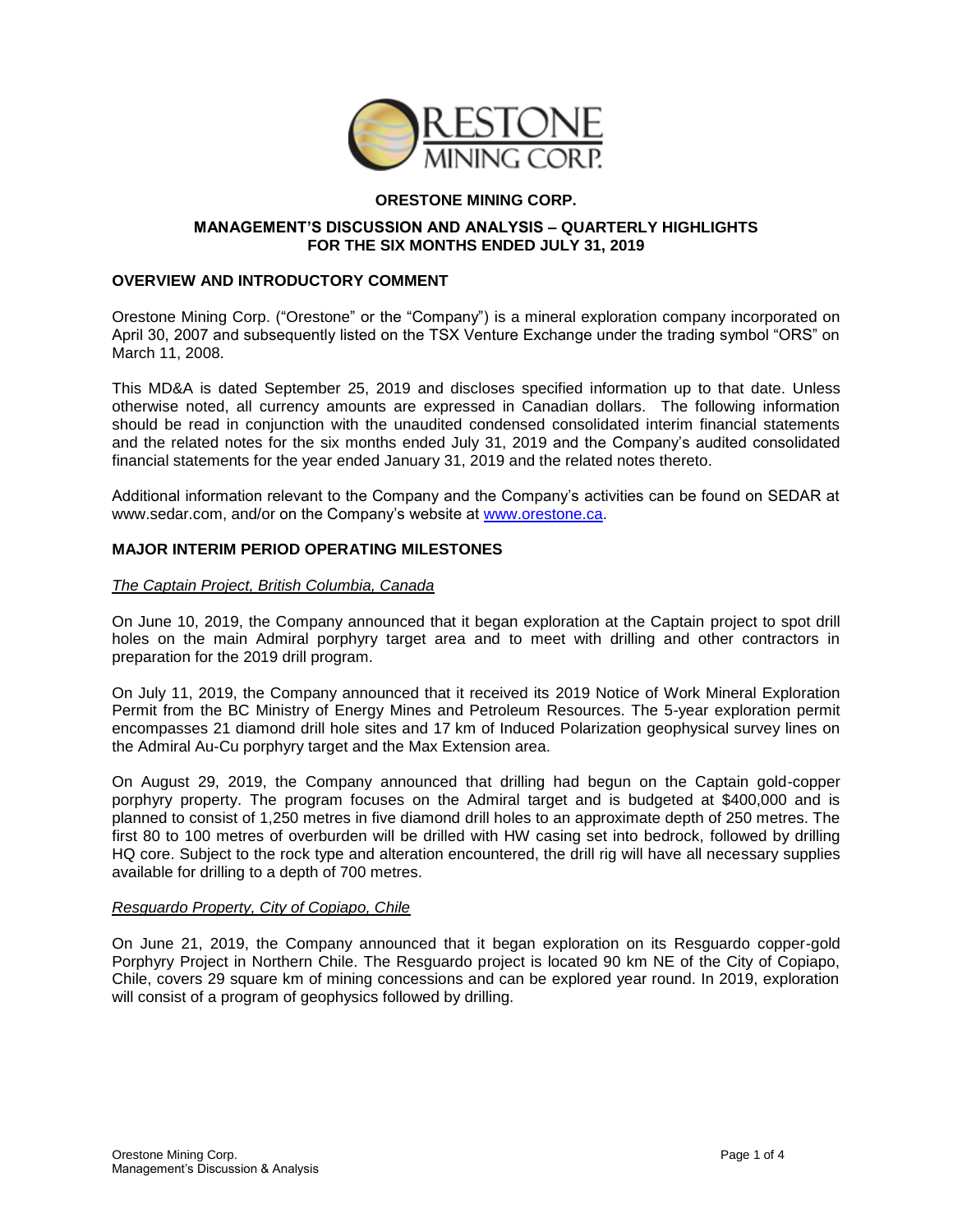

# **ORESTONE MINING CORP.**

## **MANAGEMENT'S DISCUSSION AND ANALYSIS – QUARTERLY HIGHLIGHTS FOR THE SIX MONTHS ENDED JULY 31, 2019**

## **OVERVIEW AND INTRODUCTORY COMMENT**

Orestone Mining Corp. ("Orestone" or the "Company") is a mineral exploration company incorporated on April 30, 2007 and subsequently listed on the TSX Venture Exchange under the trading symbol "ORS" on March 11, 2008.

This MD&A is dated September 25, 2019 and discloses specified information up to that date. Unless otherwise noted, all currency amounts are expressed in Canadian dollars. The following information should be read in conjunction with the unaudited condensed consolidated interim financial statements and the related notes for the six months ended July 31, 2019 and the Company's audited consolidated financial statements for the year ended January 31, 2019 and the related notes thereto.

Additional information relevant to the Company and the Company's activities can be found on SEDAR at [www.sedar.com,](http://www.sedar.com/) and/or on the Company's website at [www.orestone.ca.](http://www.orestone.ca/)

## **MAJOR INTERIM PERIOD OPERATING MILESTONES**

## *The Captain Project, British Columbia, Canada*

On June 10, 2019, the Company announced that it began exploration at the Captain project to spot drill holes on the main Admiral porphyry target area and to meet with drilling and other contractors in preparation for the 2019 drill program.

On July 11, 2019, the Company announced that it received its 2019 Notice of Work Mineral Exploration Permit from the BC Ministry of Energy Mines and Petroleum Resources. The 5-year exploration permit encompasses 21 diamond drill hole sites and 17 km of Induced Polarization geophysical survey lines on the Admiral Au-Cu porphyry target and the Max Extension area.

On August 29, 2019, the Company announced that drilling had begun on the Captain gold-copper porphyry property. The program focuses on the Admiral target and is budgeted at \$400,000 and is planned to consist of 1,250 metres in five diamond drill holes to an approximate depth of 250 metres. The first 80 to 100 metres of overburden will be drilled with HW casing set into bedrock, followed by drilling HQ core. Subject to the rock type and alteration encountered, the drill rig will have all necessary supplies available for drilling to a depth of 700 metres.

## *Resguardo Property, City of Copiapo, Chile*

On June 21, 2019, the Company announced that it began exploration on its Resguardo copper-gold Porphyry Project in Northern Chile. The Resguardo project is located 90 km NE of the City of Copiapo, Chile, covers 29 square km of mining concessions and can be explored year round. In 2019, exploration will consist of a program of geophysics followed by drilling.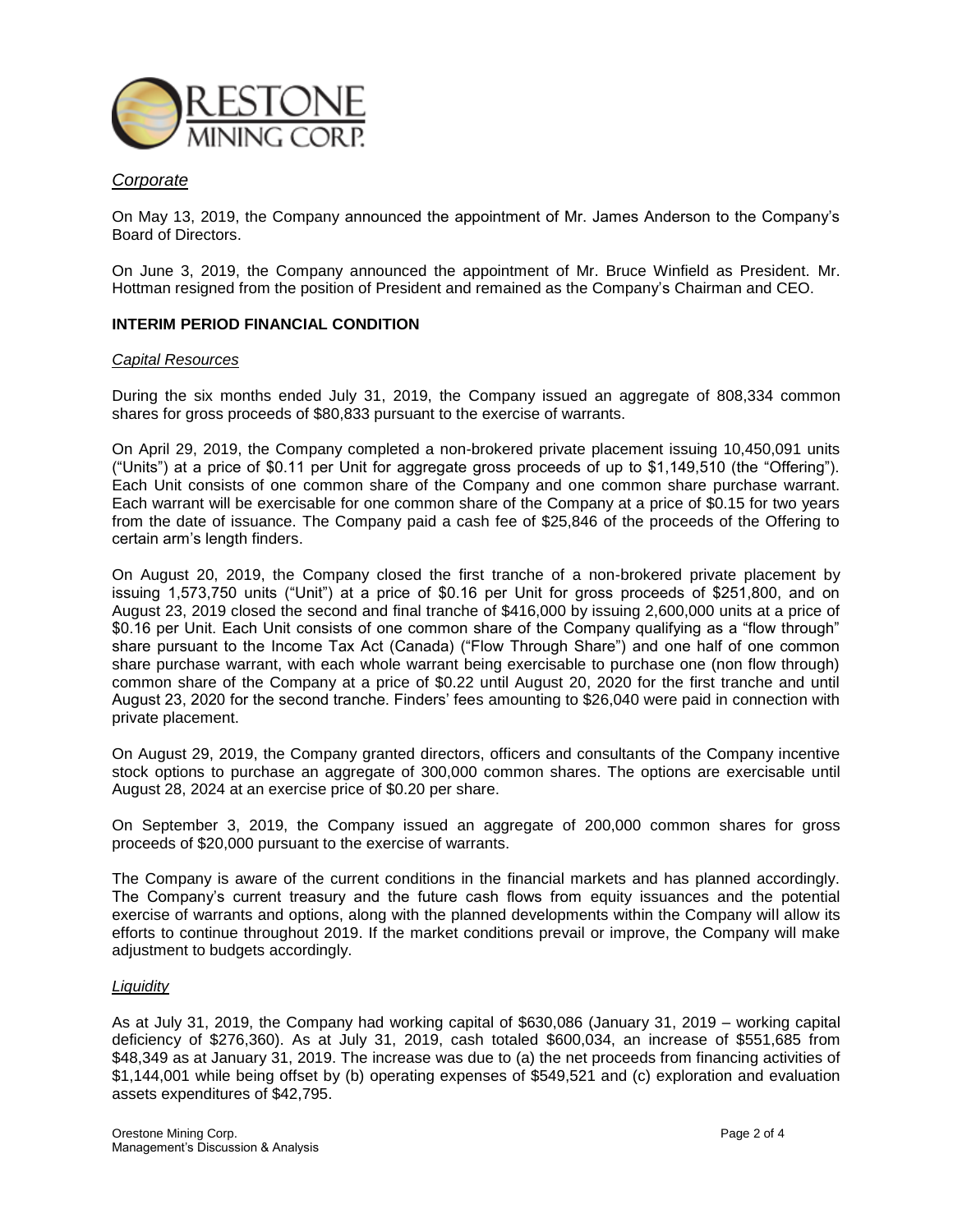

## *Corporate*

On May 13, 2019, the Company announced the appointment of Mr. James Anderson to the Company's Board of Directors.

On June 3, 2019, the Company announced the appointment of Mr. Bruce Winfield as President. Mr. Hottman resigned from the position of President and remained as the Company's Chairman and CEO.

### **INTERIM PERIOD FINANCIAL CONDITION**

#### *Capital Resources*

During the six months ended July 31, 2019, the Company issued an aggregate of 808,334 common shares for gross proceeds of \$80,833 pursuant to the exercise of warrants.

On April 29, 2019, the Company completed a non-brokered private placement issuing 10,450,091 units ("Units") at a price of \$0.11 per Unit for aggregate gross proceeds of up to \$1,149,510 (the "Offering"). Each Unit consists of one common share of the Company and one common share purchase warrant. Each warrant will be exercisable for one common share of the Company at a price of \$0.15 for two years from the date of issuance. The Company paid a cash fee of \$25,846 of the proceeds of the Offering to certain arm's length finders.

On August 20, 2019, the Company closed the first tranche of a non-brokered private placement by issuing 1,573,750 units ("Unit") at a price of \$0.16 per Unit for gross proceeds of \$251,800, and on August 23, 2019 closed the second and final tranche of \$416,000 by issuing 2,600,000 units at a price of \$0.16 per Unit. Each Unit consists of one common share of the Company qualifying as a "flow through" share pursuant to the Income Tax Act (Canada) ("Flow Through Share") and one half of one common share purchase warrant, with each whole warrant being exercisable to purchase one (non flow through) common share of the Company at a price of \$0.22 until August 20, 2020 for the first tranche and until August 23, 2020 for the second tranche. Finders' fees amounting to \$26,040 were paid in connection with private placement.

On August 29, 2019, the Company granted directors, officers and consultants of the Company incentive stock options to purchase an aggregate of 300,000 common shares. The options are exercisable until August 28, 2024 at an exercise price of \$0.20 per share.

On September 3, 2019, the Company issued an aggregate of 200,000 common shares for gross proceeds of \$20,000 pursuant to the exercise of warrants.

The Company is aware of the current conditions in the financial markets and has planned accordingly. The Company's current treasury and the future cash flows from equity issuances and the potential exercise of warrants and options, along with the planned developments within the Company will allow its efforts to continue throughout 2019. If the market conditions prevail or improve, the Company will make adjustment to budgets accordingly.

#### *Liquidity*

As at July 31, 2019, the Company had working capital of \$630,086 (January 31, 2019 – working capital deficiency of \$276,360). As at July 31, 2019, cash totaled \$600,034, an increase of \$551,685 from \$48,349 as at January 31, 2019. The increase was due to (a) the net proceeds from financing activities of \$1,144,001 while being offset by (b) operating expenses of \$549,521 and (c) exploration and evaluation assets expenditures of \$42,795.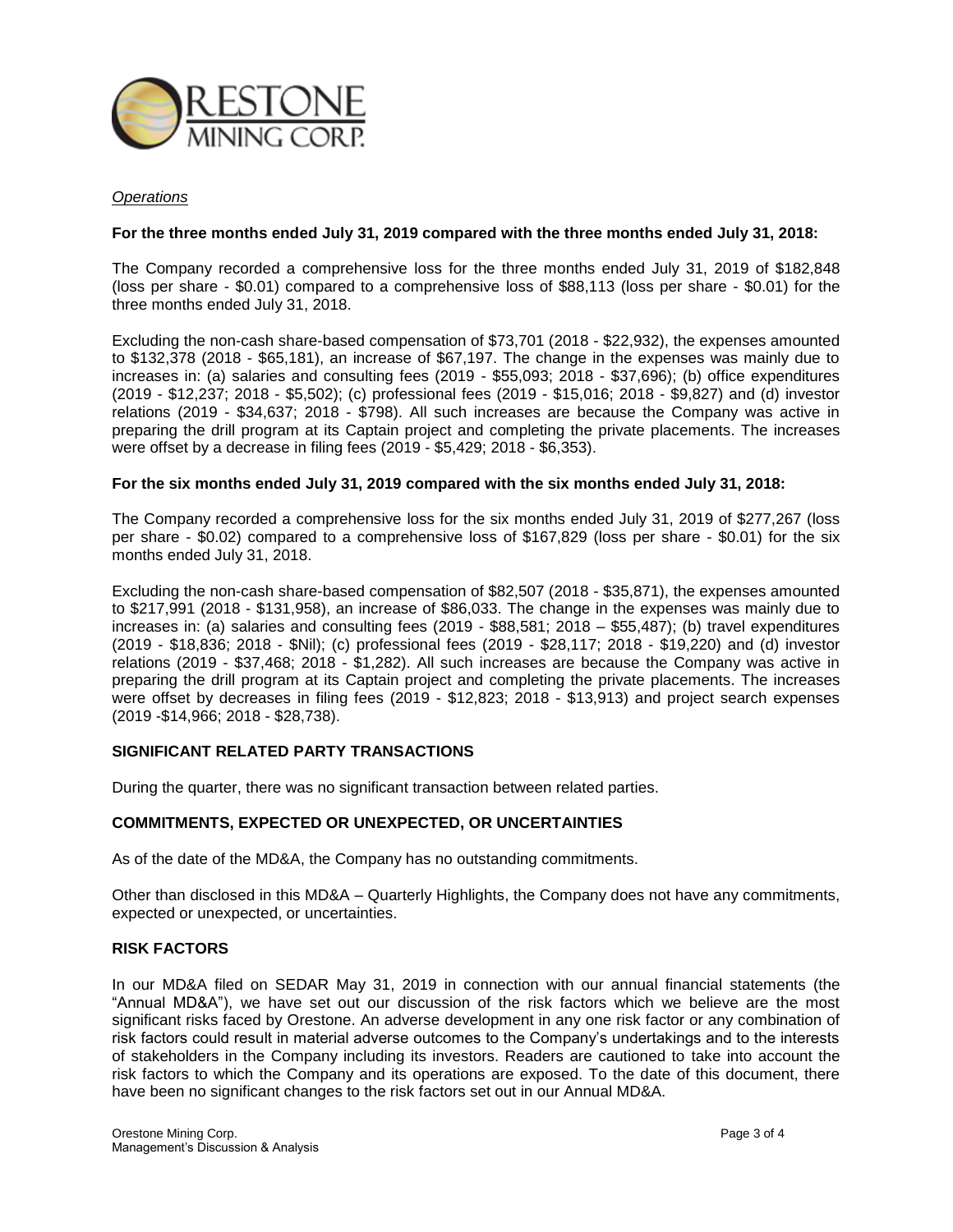

### *Operations*

### **For the three months ended July 31, 2019 compared with the three months ended July 31, 2018:**

The Company recorded a comprehensive loss for the three months ended July 31, 2019 of \$182,848 (loss per share - \$0.01) compared to a comprehensive loss of \$88,113 (loss per share - \$0.01) for the three months ended July 31, 2018.

Excluding the non-cash share-based compensation of \$73,701 (2018 - \$22,932), the expenses amounted to \$132,378 (2018 - \$65,181), an increase of \$67,197. The change in the expenses was mainly due to increases in: (a) salaries and consulting fees (2019 - \$55,093; 2018 - \$37,696); (b) office expenditures (2019 - \$12,237; 2018 - \$5,502); (c) professional fees (2019 - \$15,016; 2018 - \$9,827) and (d) investor relations (2019 - \$34,637; 2018 - \$798). All such increases are because the Company was active in preparing the drill program at its Captain project and completing the private placements. The increases were offset by a decrease in filing fees (2019 - \$5,429; 2018 - \$6,353).

### **For the six months ended July 31, 2019 compared with the six months ended July 31, 2018:**

The Company recorded a comprehensive loss for the six months ended July 31, 2019 of \$277,267 (loss per share - \$0.02) compared to a comprehensive loss of \$167,829 (loss per share - \$0.01) for the six months ended July 31, 2018.

Excluding the non-cash share-based compensation of \$82,507 (2018 - \$35,871), the expenses amounted to \$217,991 (2018 - \$131,958), an increase of \$86,033. The change in the expenses was mainly due to increases in: (a) salaries and consulting fees (2019 - \$88,581; 2018 – \$55,487); (b) travel expenditures (2019 - \$18,836; 2018 - \$Nil); (c) professional fees (2019 - \$28,117; 2018 - \$19,220) and (d) investor relations (2019 - \$37,468; 2018 - \$1,282). All such increases are because the Company was active in preparing the drill program at its Captain project and completing the private placements. The increases were offset by decreases in filing fees (2019 - \$12,823; 2018 - \$13,913) and project search expenses (2019 -\$14,966; 2018 - \$28,738).

## **SIGNIFICANT RELATED PARTY TRANSACTIONS**

During the quarter, there was no significant transaction between related parties.

## **COMMITMENTS, EXPECTED OR UNEXPECTED, OR UNCERTAINTIES**

As of the date of the MD&A, the Company has no outstanding commitments.

Other than disclosed in this MD&A – Quarterly Highlights, the Company does not have any commitments, expected or unexpected, or uncertainties.

#### **RISK FACTORS**

In our MD&A filed on SEDAR May 31, 2019 in connection with our annual financial statements (the "Annual MD&A"), we have set out our discussion of the risk factors which we believe are the most significant risks faced by Orestone. An adverse development in any one risk factor or any combination of risk factors could result in material adverse outcomes to the Company's undertakings and to the interests of stakeholders in the Company including its investors. Readers are cautioned to take into account the risk factors to which the Company and its operations are exposed. To the date of this document, there have been no significant changes to the risk factors set out in our Annual MD&A.